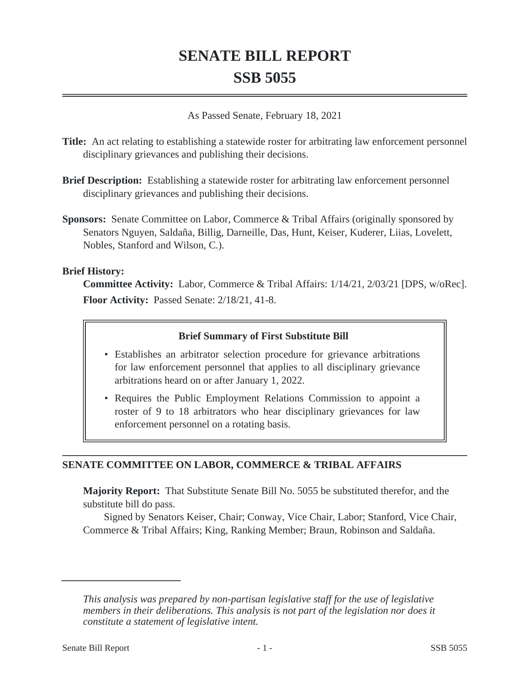# **SENATE BILL REPORT SSB 5055**

As Passed Senate, February 18, 2021

**Title:** An act relating to establishing a statewide roster for arbitrating law enforcement personnel disciplinary grievances and publishing their decisions.

- **Brief Description:** Establishing a statewide roster for arbitrating law enforcement personnel disciplinary grievances and publishing their decisions.
- **Sponsors:** Senate Committee on Labor, Commerce & Tribal Affairs (originally sponsored by Senators Nguyen, Saldaña, Billig, Darneille, Das, Hunt, Keiser, Kuderer, Liias, Lovelett, Nobles, Stanford and Wilson, C.).

#### **Brief History:**

**Committee Activity:** Labor, Commerce & Tribal Affairs: 1/14/21, 2/03/21 [DPS, w/oRec]. **Floor Activity:** Passed Senate: 2/18/21, 41-8.

## **Brief Summary of First Substitute Bill**

- Establishes an arbitrator selection procedure for grievance arbitrations for law enforcement personnel that applies to all disciplinary grievance arbitrations heard on or after January 1, 2022.
- Requires the Public Employment Relations Commission to appoint a roster of 9 to 18 arbitrators who hear disciplinary grievances for law enforcement personnel on a rotating basis.

#### **SENATE COMMITTEE ON LABOR, COMMERCE & TRIBAL AFFAIRS**

**Majority Report:** That Substitute Senate Bill No. 5055 be substituted therefor, and the substitute bill do pass.

Signed by Senators Keiser, Chair; Conway, Vice Chair, Labor; Stanford, Vice Chair, Commerce & Tribal Affairs; King, Ranking Member; Braun, Robinson and Saldaña.

*This analysis was prepared by non-partisan legislative staff for the use of legislative members in their deliberations. This analysis is not part of the legislation nor does it constitute a statement of legislative intent.*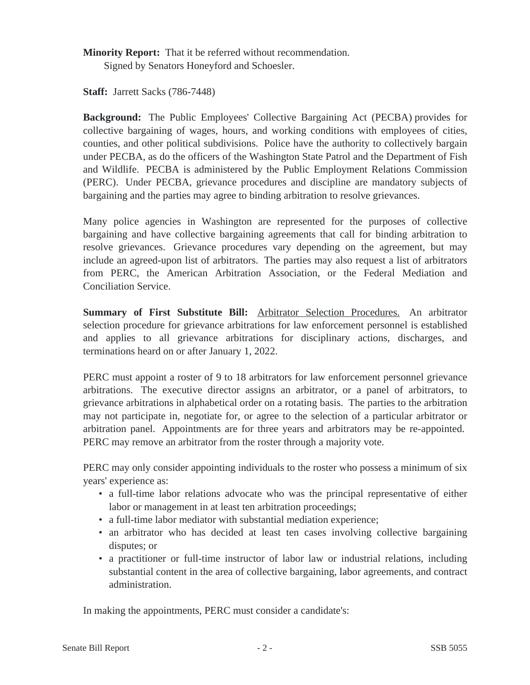**Minority Report:** That it be referred without recommendation. Signed by Senators Honeyford and Schoesler.

**Staff:** Jarrett Sacks (786-7448)

**Background:** The Public Employees' Collective Bargaining Act (PECBA) provides for collective bargaining of wages, hours, and working conditions with employees of cities, counties, and other political subdivisions. Police have the authority to collectively bargain under PECBA, as do the officers of the Washington State Patrol and the Department of Fish and Wildlife. PECBA is administered by the Public Employment Relations Commission (PERC). Under PECBA, grievance procedures and discipline are mandatory subjects of bargaining and the parties may agree to binding arbitration to resolve grievances.

Many police agencies in Washington are represented for the purposes of collective bargaining and have collective bargaining agreements that call for binding arbitration to resolve grievances. Grievance procedures vary depending on the agreement, but may include an agreed-upon list of arbitrators. The parties may also request a list of arbitrators from PERC, the American Arbitration Association, or the Federal Mediation and Conciliation Service.

**Summary of First Substitute Bill:** Arbitrator Selection Procedures. An arbitrator selection procedure for grievance arbitrations for law enforcement personnel is established and applies to all grievance arbitrations for disciplinary actions, discharges, and terminations heard on or after January 1, 2022.

PERC must appoint a roster of 9 to 18 arbitrators for law enforcement personnel grievance arbitrations. The executive director assigns an arbitrator, or a panel of arbitrators, to grievance arbitrations in alphabetical order on a rotating basis. The parties to the arbitration may not participate in, negotiate for, or agree to the selection of a particular arbitrator or arbitration panel. Appointments are for three years and arbitrators may be re-appointed. PERC may remove an arbitrator from the roster through a majority vote.

PERC may only consider appointing individuals to the roster who possess a minimum of six years' experience as:

- a full-time labor relations advocate who was the principal representative of either labor or management in at least ten arbitration proceedings;
- a full-time labor mediator with substantial mediation experience;
- an arbitrator who has decided at least ten cases involving collective bargaining disputes; or
- a practitioner or full-time instructor of labor law or industrial relations, including substantial content in the area of collective bargaining, labor agreements, and contract administration.

In making the appointments, PERC must consider a candidate's: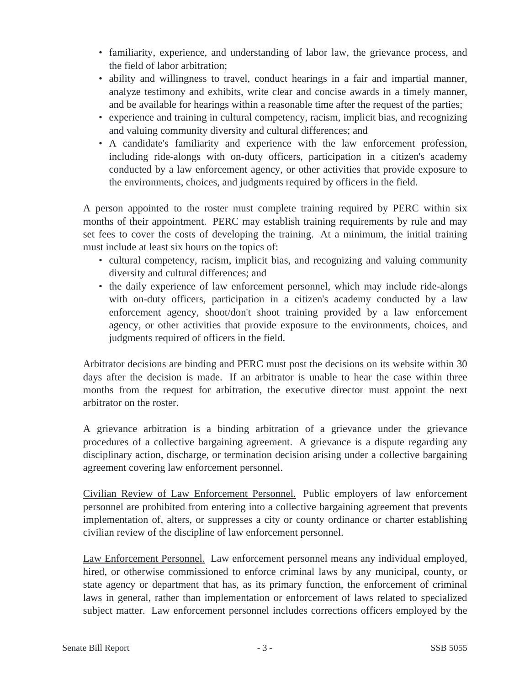- familiarity, experience, and understanding of labor law, the grievance process, and the field of labor arbitration;
- ability and willingness to travel, conduct hearings in a fair and impartial manner, analyze testimony and exhibits, write clear and concise awards in a timely manner, and be available for hearings within a reasonable time after the request of the parties;
- experience and training in cultural competency, racism, implicit bias, and recognizing and valuing community diversity and cultural differences; and
- A candidate's familiarity and experience with the law enforcement profession, including ride-alongs with on-duty officers, participation in a citizen's academy conducted by a law enforcement agency, or other activities that provide exposure to the environments, choices, and judgments required by officers in the field.

A person appointed to the roster must complete training required by PERC within six months of their appointment. PERC may establish training requirements by rule and may set fees to cover the costs of developing the training. At a minimum, the initial training must include at least six hours on the topics of:

- cultural competency, racism, implicit bias, and recognizing and valuing community diversity and cultural differences; and
- the daily experience of law enforcement personnel, which may include ride-alongs with on-duty officers, participation in a citizen's academy conducted by a law enforcement agency, shoot/don't shoot training provided by a law enforcement agency, or other activities that provide exposure to the environments, choices, and judgments required of officers in the field.

Arbitrator decisions are binding and PERC must post the decisions on its website within 30 days after the decision is made. If an arbitrator is unable to hear the case within three months from the request for arbitration, the executive director must appoint the next arbitrator on the roster.

A grievance arbitration is a binding arbitration of a grievance under the grievance procedures of a collective bargaining agreement. A grievance is a dispute regarding any disciplinary action, discharge, or termination decision arising under a collective bargaining agreement covering law enforcement personnel.

Civilian Review of Law Enforcement Personnel. Public employers of law enforcement personnel are prohibited from entering into a collective bargaining agreement that prevents implementation of, alters, or suppresses a city or county ordinance or charter establishing civilian review of the discipline of law enforcement personnel.

Law Enforcement Personnel. Law enforcement personnel means any individual employed, hired, or otherwise commissioned to enforce criminal laws by any municipal, county, or state agency or department that has, as its primary function, the enforcement of criminal laws in general, rather than implementation or enforcement of laws related to specialized subject matter. Law enforcement personnel includes corrections officers employed by the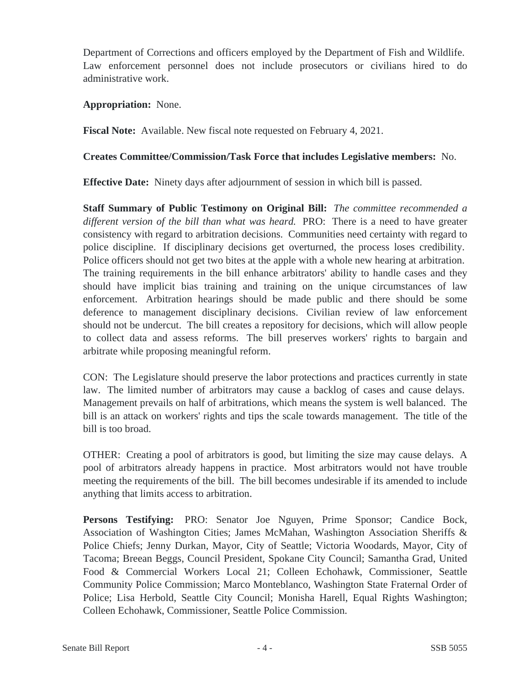Department of Corrections and officers employed by the Department of Fish and Wildlife. Law enforcement personnel does not include prosecutors or civilians hired to do administrative work.

#### **Appropriation:** None.

**Fiscal Note:** Available. New fiscal note requested on February 4, 2021.

### **Creates Committee/Commission/Task Force that includes Legislative members:** No.

**Effective Date:** Ninety days after adjournment of session in which bill is passed.

**Staff Summary of Public Testimony on Original Bill:** *The committee recommended a different version of the bill than what was heard.* PRO: There is a need to have greater consistency with regard to arbitration decisions. Communities need certainty with regard to police discipline. If disciplinary decisions get overturned, the process loses credibility. Police officers should not get two bites at the apple with a whole new hearing at arbitration. The training requirements in the bill enhance arbitrators' ability to handle cases and they should have implicit bias training and training on the unique circumstances of law enforcement. Arbitration hearings should be made public and there should be some deference to management disciplinary decisions. Civilian review of law enforcement should not be undercut. The bill creates a repository for decisions, which will allow people to collect data and assess reforms. The bill preserves workers' rights to bargain and arbitrate while proposing meaningful reform.

CON: The Legislature should preserve the labor protections and practices currently in state law. The limited number of arbitrators may cause a backlog of cases and cause delays. Management prevails on half of arbitrations, which means the system is well balanced. The bill is an attack on workers' rights and tips the scale towards management. The title of the bill is too broad.

OTHER: Creating a pool of arbitrators is good, but limiting the size may cause delays. A pool of arbitrators already happens in practice. Most arbitrators would not have trouble meeting the requirements of the bill. The bill becomes undesirable if its amended to include anything that limits access to arbitration.

**Persons Testifying:** PRO: Senator Joe Nguyen, Prime Sponsor; Candice Bock, Association of Washington Cities; James McMahan, Washington Association Sheriffs & Police Chiefs; Jenny Durkan, Mayor, City of Seattle; Victoria Woodards, Mayor, City of Tacoma; Breean Beggs, Council President, Spokane City Council; Samantha Grad, United Food & Commercial Workers Local 21; Colleen Echohawk, Commissioner, Seattle Community Police Commission; Marco Monteblanco, Washington State Fraternal Order of Police; Lisa Herbold, Seattle City Council; Monisha Harell, Equal Rights Washington; Colleen Echohawk, Commissioner, Seattle Police Commission.